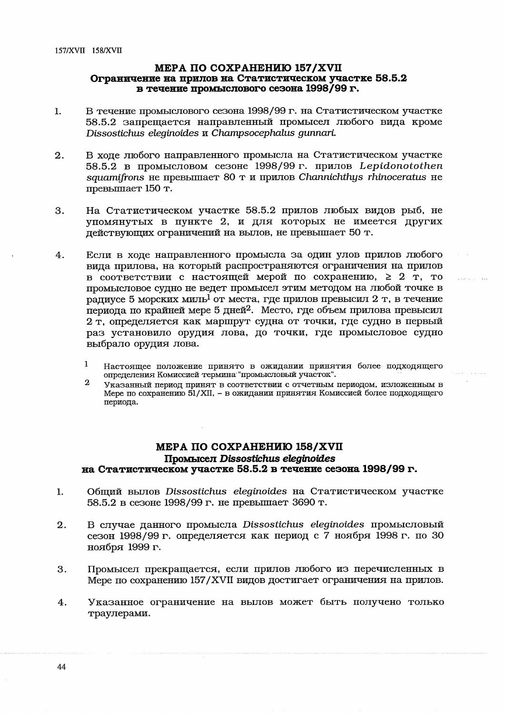## MEPA NO COXPAHEHMIO 158/XVII Промысел Dissostichus eleginoides на Статистическом участке 58.5.2 в течение сезона 1998/99 г.

- $\mathbf{1}$ . Общий вылов Dissostichus eleginoides на Статистическом участке 58.5.2 в сезоне 1998/99 г. не превышает 3690 т.
- $2.$ В случае данного промысла Dissostichus eleginoides промысловый сезон 1998/99 г. определяется как период с 7 ноября 1998 г. по 30 ноября 1999 г.
- Промысел прекращается, если прилов любого из перечисленных в 3. Мере по сохранению 157/XVII видов достигает ограничения на прилов.
- Указанное ограничение на вылов может быть получено только 4. траулерами.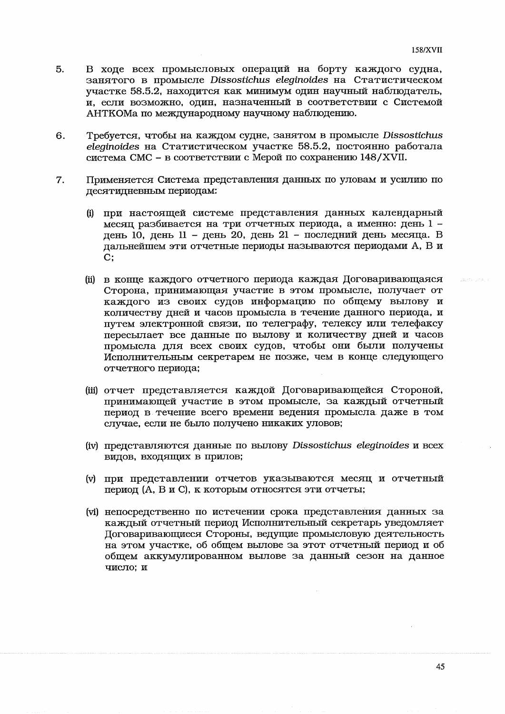المحدث والعاملين

- В ходе всех промысловых операций на борту каждого судна, 5. занятого в промысле Dissostichus eleginoides на Статистическом участке 58.5.2, находится как минимум один научный наблюдатель, и. если возможно, один, назначенный в соответствии с Системой АНТКОМа по международному научному наблюдению.
- Требуется, чтобы на каждом судне, занятом в промысле Dissostichus 6. eleginoides на Статистическом участке 58.5.2, постоянно работала система СМС - в соответствии с Мерой по сохранению  $148/XV$ II.
- Применяется Система представления данных по уловам и усилию по  $7.$ десятидневным периодам:
	- (i) при настоящей системе представления данных календарный меся при положительство и периода, а именно: день 1 день 10, день 11 - день 20, день 21 - последний день месяца. В дальнейшем эти отчетные периоды называются периодами А, В и  $C:$
	- (ii) в конце каждого отчетного периода каждая Договаривающаяся Сторона, принимающая участие в этом промысле, получает от каждого из своих судов информацию по общему вылову и количеству дней и часов промысла в течение данного периода, и путем электронной связи, по телеграфу, телексу или телефаксу пересылает все данные по вылову и количеству дней и часов промысла для всех своих судов, чтобы они были получены Исполнительным секретарем не позже, чем в конце следующего отчетного периода;
	- (iii) отчет представляется каждой Договаривающейся Стороной, принимающей участие в этом промысле, за каждый отчетный период в течение всего времени ведения промысла даже в том случае, если не было получено никаких уловов;
	- (iv) представляются данные по вылову Dissostichus eleginoides и всех видов, входящих в прилов;
	- (v) при представлении отчетов указываются месяц и отчетный период (А, В и С), к которым относятся эти отчеты;
	- (vi) непосредственно по истечении срока представления данных за каждый отчетный период Исполнительный секретарь уведомляет Договаривающиеся Стороны, ведущие промысловую деятельность на этом участке, об общем вылове за этот отчетный период и об общем аккумулированном вылове за данный сезон на данное число: и